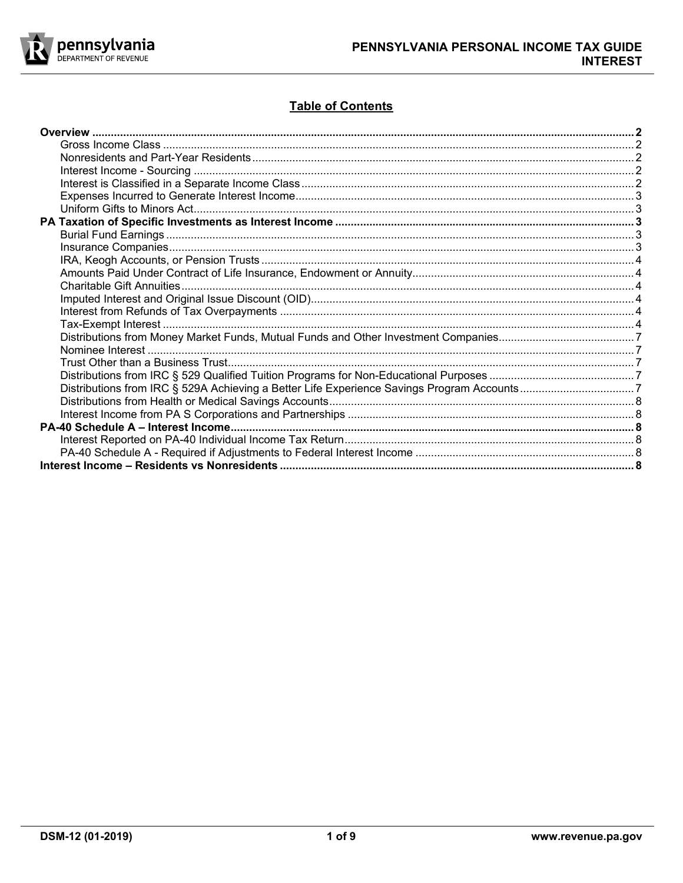

# **Table of Contents**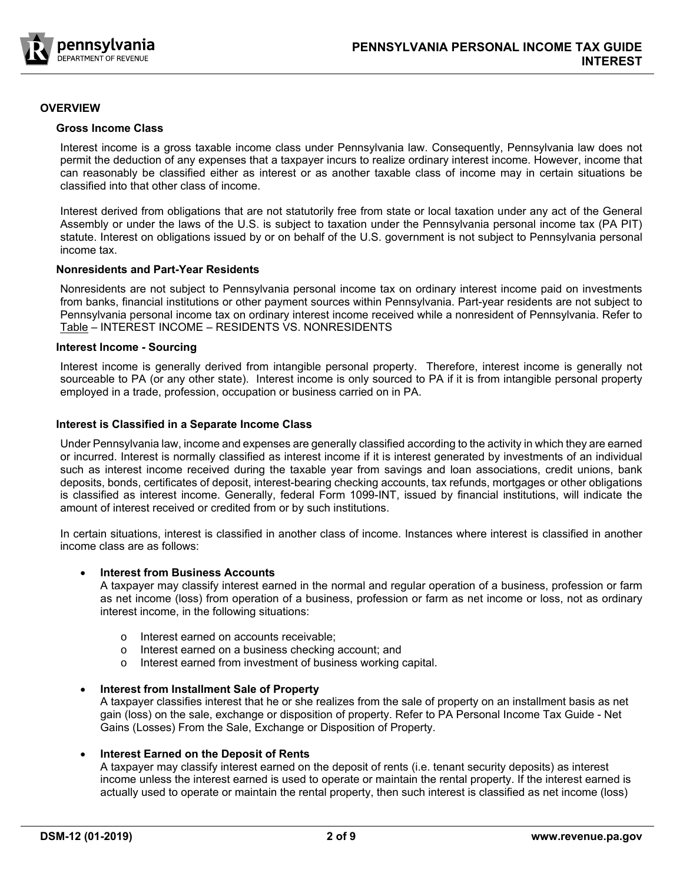

# **OVERVIEW**

#### **Gross Income Class**

Interest income is a gross taxable income class under Pennsylvania law. Consequently, Pennsylvania law does not permit the deduction of any expenses that a taxpayer incurs to realize ordinary interest income. However, income that can reasonably be classified either as interest or as another taxable class of income may in certain situations be classified into that other class of income.

Interest derived from obligations that are not statutorily free from state or local taxation under any act of the General Assembly or under the laws of the U.S. is subject to taxation under the Pennsylvania personal income tax (PA PIT) statute. Interest on obligations issued by or on behalf of the U.S. government is not subject to Pennsylvania personal income tax.

# **Nonresidents and Part-Year Residents**

Nonresidents are not subject to Pennsylvania personal income tax on ordinary interest income paid on investments from banks, financial institutions or other payment sources within Pennsylvania. Part-year residents are not subject to Pennsylvania personal income tax on ordinary interest income received while a nonresident of Pennsylvania. Refer to Table – INTEREST INCOME – RESIDENTS VS. NONRESIDENTS

#### **Interest Income - Sourcing**

Interest income is generally derived from intangible personal property. Therefore, interest income is generally not sourceable to PA (or any other state). Interest income is only sourced to PA if it is from intangible personal property employed in a trade, profession, occupation or business carried on in PA.

#### **Interest is Classified in a Separate Income Class**

Under Pennsylvania law, income and expenses are generally classified according to the activity in which they are earned or incurred. Interest is normally classified as interest income if it is interest generated by investments of an individual such as interest income received during the taxable year from savings and loan associations, credit unions, bank deposits, bonds, certificates of deposit, interest-bearing checking accounts, tax refunds, mortgages or other obligations is classified as interest income. Generally, federal Form 1099-INT, issued by financial institutions, will indicate the amount of interest received or credited from or by such institutions.

In certain situations, interest is classified in another class of income. Instances where interest is classified in another income class are as follows:

# **Interest from Business Accounts**

A taxpayer may classify interest earned in the normal and regular operation of a business, profession or farm as net income (loss) from operation of a business, profession or farm as net income or loss, not as ordinary interest income, in the following situations:

- o Interest earned on accounts receivable;
- o Interest earned on a business checking account; and
- o Interest earned from investment of business working capital.

#### **Interest from Installment Sale of Property**

A taxpayer classifies interest that he or she realizes from the sale of property on an installment basis as net gain (loss) on the sale, exchange or disposition of property. Refer to PA Personal Income Tax Guide - Net Gains (Losses) From the Sale, Exchange or Disposition of Property.

#### **Interest Earned on the Deposit of Rents**

A taxpayer may classify interest earned on the deposit of rents (i.e. tenant security deposits) as interest income unless the interest earned is used to operate or maintain the rental property. If the interest earned is actually used to operate or maintain the rental property, then such interest is classified as net income (loss)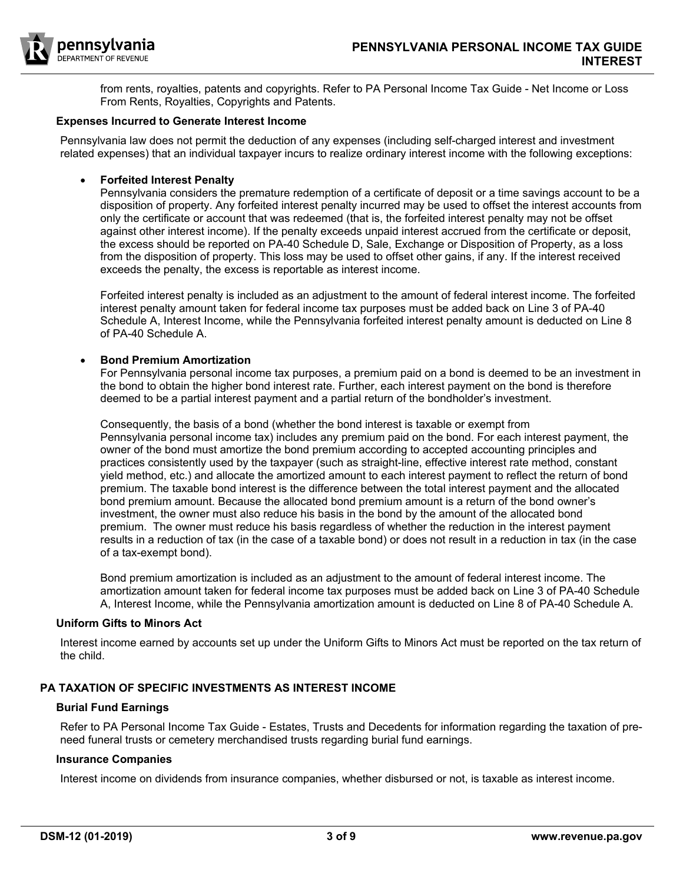

from rents, royalties, patents and copyrights. Refer to PA Personal Income Tax Guide - Net Income or Loss From Rents, Royalties, Copyrights and Patents.

# **Expenses Incurred to Generate Interest Income**

Pennsylvania law does not permit the deduction of any expenses (including self-charged interest and investment related expenses) that an individual taxpayer incurs to realize ordinary interest income with the following exceptions:

# **Forfeited Interest Penalty**

Pennsylvania considers the premature redemption of a certificate of deposit or a time savings account to be a disposition of property. Any forfeited interest penalty incurred may be used to offset the interest accounts from only the certificate or account that was redeemed (that is, the forfeited interest penalty may not be offset against other interest income). If the penalty exceeds unpaid interest accrued from the certificate or deposit, the excess should be reported on PA-40 Schedule D, Sale, Exchange or Disposition of Property, as a loss from the disposition of property. This loss may be used to offset other gains, if any. If the interest received exceeds the penalty, the excess is reportable as interest income.

Forfeited interest penalty is included as an adjustment to the amount of federal interest income. The forfeited interest penalty amount taken for federal income tax purposes must be added back on Line 3 of PA-40 Schedule A, Interest Income, while the Pennsylvania forfeited interest penalty amount is deducted on Line 8 of PA-40 Schedule A.

# **Bond Premium Amortization**

For Pennsylvania personal income tax purposes, a premium paid on a bond is deemed to be an investment in the bond to obtain the higher bond interest rate. Further, each interest payment on the bond is therefore deemed to be a partial interest payment and a partial return of the bondholder's investment.

Consequently, the basis of a bond (whether the bond interest is taxable or exempt from Pennsylvania personal income tax) includes any premium paid on the bond. For each interest payment, the owner of the bond must amortize the bond premium according to accepted accounting principles and practices consistently used by the taxpayer (such as straight-line, effective interest rate method, constant yield method, etc.) and allocate the amortized amount to each interest payment to reflect the return of bond premium. The taxable bond interest is the difference between the total interest payment and the allocated bond premium amount. Because the allocated bond premium amount is a return of the bond owner's investment, the owner must also reduce his basis in the bond by the amount of the allocated bond premium. The owner must reduce his basis regardless of whether the reduction in the interest payment results in a reduction of tax (in the case of a taxable bond) or does not result in a reduction in tax (in the case of a tax-exempt bond).

Bond premium amortization is included as an adjustment to the amount of federal interest income. The amortization amount taken for federal income tax purposes must be added back on Line 3 of PA-40 Schedule A, Interest Income, while the Pennsylvania amortization amount is deducted on Line 8 of PA-40 Schedule A.

# **Uniform Gifts to Minors Act**

Interest income earned by accounts set up under the Uniform Gifts to Minors Act must be reported on the tax return of the child.

# **PA TAXATION OF SPECIFIC INVESTMENTS AS INTEREST INCOME**

# **Burial Fund Earnings**

Refer to PA Personal Income Tax Guide - Estates, Trusts and Decedents for information regarding the taxation of preneed funeral trusts or cemetery merchandised trusts regarding burial fund earnings.

# **Insurance Companies**

Interest income on dividends from insurance companies, whether disbursed or not, is taxable as interest income.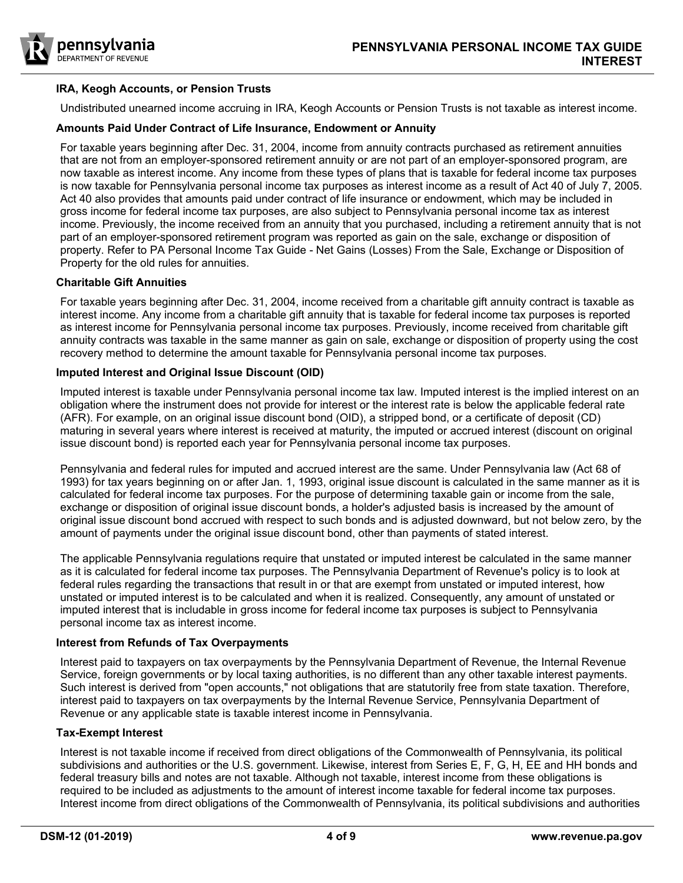

# **IRA, Keogh Accounts, or Pension Trusts**

Undistributed unearned income accruing in IRA, Keogh Accounts or Pension Trusts is not taxable as interest income.

#### **Amounts Paid Under Contract of Life Insurance, Endowment or Annuity**

For taxable years beginning after Dec. 31, 2004, income from annuity contracts purchased as retirement annuities that are not from an employer-sponsored retirement annuity or are not part of an employer-sponsored program, are now taxable as interest income. Any income from these types of plans that is taxable for federal income tax purposes is now taxable for Pennsylvania personal income tax purposes as interest income as a result of Act 40 of July 7, 2005. Act 40 also provides that amounts paid under contract of life insurance or endowment, which may be included in gross income for federal income tax purposes, are also subject to Pennsylvania personal income tax as interest income. Previously, the income received from an annuity that you purchased, including a retirement annuity that is not part of an employer-sponsored retirement program was reported as gain on the sale, exchange or disposition of property. Refer to PA Personal Income Tax Guide - Net Gains (Losses) From the Sale, Exchange or Disposition of Property for the old rules for annuities.

#### **Charitable Gift Annuities**

For taxable years beginning after Dec. 31, 2004, income received from a charitable gift annuity contract is taxable as interest income. Any income from a charitable gift annuity that is taxable for federal income tax purposes is reported as interest income for Pennsylvania personal income tax purposes. Previously, income received from charitable gift annuity contracts was taxable in the same manner as gain on sale, exchange or disposition of property using the cost recovery method to determine the amount taxable for Pennsylvania personal income tax purposes.

#### **Imputed Interest and Original Issue Discount (OID)**

Imputed interest is taxable under Pennsylvania personal income tax law. Imputed interest is the implied interest on an obligation where the instrument does not provide for interest or the interest rate is below the applicable federal rate (AFR). For example, on an original issue discount bond (OID), a stripped bond, or a certificate of deposit (CD) maturing in several years where interest is received at maturity, the imputed or accrued interest (discount on original issue discount bond) is reported each year for Pennsylvania personal income tax purposes.

Pennsylvania and federal rules for imputed and accrued interest are the same. Under Pennsylvania law (Act 68 of 1993) for tax years beginning on or after Jan. 1, 1993, original issue discount is calculated in the same manner as it is calculated for federal income tax purposes. For the purpose of determining taxable gain or income from the sale, exchange or disposition of original issue discount bonds, a holder's adjusted basis is increased by the amount of original issue discount bond accrued with respect to such bonds and is adjusted downward, but not below zero, by the amount of payments under the original issue discount bond, other than payments of stated interest.

The applicable Pennsylvania regulations require that unstated or imputed interest be calculated in the same manner as it is calculated for federal income tax purposes. The Pennsylvania Department of Revenue's policy is to look at federal rules regarding the transactions that result in or that are exempt from unstated or imputed interest, how unstated or imputed interest is to be calculated and when it is realized. Consequently, any amount of unstated or imputed interest that is includable in gross income for federal income tax purposes is subject to Pennsylvania personal income tax as interest income.

# **Interest from Refunds of Tax Overpayments**

Interest paid to taxpayers on tax overpayments by the Pennsylvania Department of Revenue, the Internal Revenue Service, foreign governments or by local taxing authorities, is no different than any other taxable interest payments. Such interest is derived from "open accounts," not obligations that are statutorily free from state taxation. Therefore, interest paid to taxpayers on tax overpayments by the Internal Revenue Service, Pennsylvania Department of Revenue or any applicable state is taxable interest income in Pennsylvania.

# **Tax-Exempt Interest**

Interest is not taxable income if received from direct obligations of the Commonwealth of Pennsylvania, its political subdivisions and authorities or the U.S. government. Likewise, interest from Series E, F, G, H, EE and HH bonds and federal treasury bills and notes are not taxable. Although not taxable, interest income from these obligations is required to be included as adjustments to the amount of interest income taxable for federal income tax purposes. Interest income from direct obligations of the Commonwealth of Pennsylvania, its political subdivisions and authorities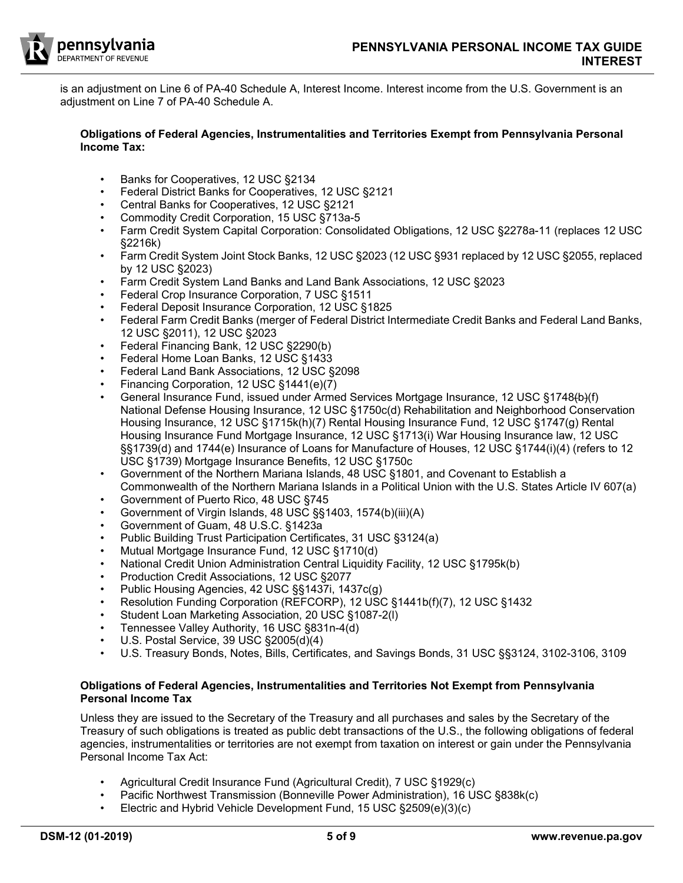

is an adjustment on Line 6 of PA-40 Schedule A, Interest Income. Interest income from the U.S. Government is an adjustment on Line 7 of PA-40 Schedule A.

#### **Obligations of Federal Agencies, Instrumentalities and Territories Exempt from Pennsylvania Personal Income Tax:**

- Banks for Cooperatives, 12 USC §2134
- Federal District Banks for Cooperatives, 12 USC §2121
- Central Banks for Cooperatives, 12 USC §2121
- Commodity Credit Corporation, 15 USC §713a-5
- Farm Credit System Capital Corporation: Consolidated Obligations, 12 USC §2278a-11 (replaces 12 USC §2216k)
- Farm Credit System Joint Stock Banks, 12 USC §2023 (12 USC §931 replaced by 12 USC §2055, replaced by 12 USC §2023)
- Farm Credit System Land Banks and Land Bank Associations, 12 USC §2023
- Federal Crop Insurance Corporation, 7 USC §1511
- Federal Deposit Insurance Corporation, 12 USC §1825
- Federal Farm Credit Banks (merger of Federal District Intermediate Credit Banks and Federal Land Banks, 12 USC §2011), 12 USC §2023
- Federal Financing Bank, 12 USC §2290(b)
- Federal Home Loan Banks, 12 USC §1433
- Federal Land Bank Associations, 12 USC §2098
- Financing Corporation, 12 USC §1441(e)(7)
- General Insurance Fund, issued under Armed Services Mortgage Insurance, 12 USC §1748(b)(f) National Defense Housing Insurance, 12 USC §1750c(d) Rehabilitation and Neighborhood Conservation Housing Insurance, 12 USC §1715k(h)(7) Rental Housing Insurance Fund, 12 USC §1747(g) Rental Housing Insurance Fund Mortgage Insurance, 12 USC §1713(i) War Housing Insurance law, 12 USC §§1739(d) and 1744(e) Insurance of Loans for Manufacture of Houses, 12 USC §1744(i)(4) (refers to 12 USC §1739) Mortgage Insurance Benefits, 12 USC §1750c
- Government of the Northern Mariana Islands, 48 USC §1801, and Covenant to Establish a Commonwealth of the Northern Mariana Islands in a Political Union with the U.S. States Article IV 607(a)
- Government of Puerto Rico, 48 USC §745
- Government of Virgin Islands, 48 USC §§1403, 1574(b)(iii)(A)
- Government of Guam, 48 U.S.C. §1423a
- Public Building Trust Participation Certificates, 31 USC §3124(a)
- Mutual Mortgage Insurance Fund, 12 USC §1710(d)
- National Credit Union Administration Central Liquidity Facility, 12 USC §1795k(b)
- Production Credit Associations, 12 USC §2077
- Public Housing Agencies, 42 USC §§1437i, 1437c(g)
- Resolution Funding Corporation (REFCORP), 12 USC §1441b(f)(7), 12 USC §1432
- Student Loan Marketing Association, 20 USC §1087-2(l)
- Tennessee Valley Authority, 16 USC §831n-4(d)
- U.S. Postal Service, 39 USC §2005(d)(4)
- U.S. Treasury Bonds, Notes, Bills, Certificates, and Savings Bonds, 31 USC §§3124, 3102-3106, 3109

# **Obligations of Federal Agencies, Instrumentalities and Territories Not Exempt from Pennsylvania Personal Income Tax**

Unless they are issued to the Secretary of the Treasury and all purchases and sales by the Secretary of the Treasury of such obligations is treated as public debt transactions of the U.S., the following obligations of federal agencies, instrumentalities or territories are not exempt from taxation on interest or gain under the Pennsylvania Personal Income Tax Act:

- Agricultural Credit Insurance Fund (Agricultural Credit), 7 USC §1929(c)
- Pacific Northwest Transmission (Bonneville Power Administration), 16 USC §838k(c)
	- Electric and Hybrid Vehicle Development Fund, 15 USC §2509(e)(3)(c)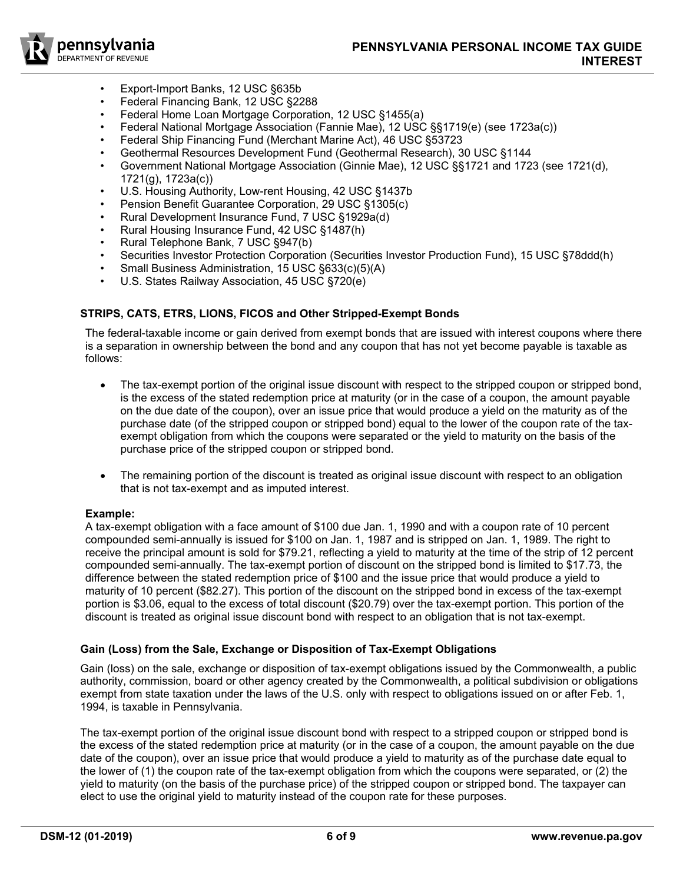

- Export-Import Banks, 12 USC §635b
- Federal Financing Bank, 12 USC §2288
- Federal Home Loan Mortgage Corporation, 12 USC §1455(a)
- Federal National Mortgage Association (Fannie Mae), 12 USC §§1719(e) (see 1723a(c))
- Federal Ship Financing Fund (Merchant Marine Act), 46 USC §53723
- Geothermal Resources Development Fund (Geothermal Research), 30 USC §1144
- Government National Mortgage Association (Ginnie Mae), 12 USC §§1721 and 1723 (see 1721(d), 1721(g), 1723a(c))
- U.S. Housing Authority, Low-rent Housing, 42 USC §1437b
- Pension Benefit Guarantee Corporation, 29 USC §1305(c)
- Rural Development Insurance Fund, 7 USC §1929a(d)
- Rural Housing Insurance Fund, 42 USC §1487(h)
- Rural Telephone Bank, 7 USC §947(b)
- Securities Investor Protection Corporation (Securities Investor Production Fund), 15 USC §78ddd(h)
- Small Business Administration, 15 USC §633(c)(5)(A)
- U.S. States Railway Association, 45 USC §720(e)

# **STRIPS, CATS, ETRS, LIONS, FICOS and Other Stripped-Exempt Bonds**

The federal-taxable income or gain derived from exempt bonds that are issued with interest coupons where there is a separation in ownership between the bond and any coupon that has not yet become payable is taxable as follows:

- The tax-exempt portion of the original issue discount with respect to the stripped coupon or stripped bond, is the excess of the stated redemption price at maturity (or in the case of a coupon, the amount payable on the due date of the coupon), over an issue price that would produce a yield on the maturity as of the purchase date (of the stripped coupon or stripped bond) equal to the lower of the coupon rate of the taxexempt obligation from which the coupons were separated or the yield to maturity on the basis of the purchase price of the stripped coupon or stripped bond.
- The remaining portion of the discount is treated as original issue discount with respect to an obligation that is not tax-exempt and as imputed interest.

# **Example:**

A tax-exempt obligation with a face amount of \$100 due Jan. 1, 1990 and with a coupon rate of 10 percent compounded semi-annually is issued for \$100 on Jan. 1, 1987 and is stripped on Jan. 1, 1989. The right to receive the principal amount is sold for \$79.21, reflecting a yield to maturity at the time of the strip of 12 percent compounded semi-annually. The tax-exempt portion of discount on the stripped bond is limited to \$17.73, the difference between the stated redemption price of \$100 and the issue price that would produce a yield to maturity of 10 percent (\$82.27). This portion of the discount on the stripped bond in excess of the tax-exempt portion is \$3.06, equal to the excess of total discount (\$20.79) over the tax-exempt portion. This portion of the discount is treated as original issue discount bond with respect to an obligation that is not tax-exempt.

# **Gain (Loss) from the Sale, Exchange or Disposition of Tax-Exempt Obligations**

Gain (loss) on the sale, exchange or disposition of tax-exempt obligations issued by the Commonwealth, a public authority, commission, board or other agency created by the Commonwealth, a political subdivision or obligations exempt from state taxation under the laws of the U.S. only with respect to obligations issued on or after Feb. 1, 1994, is taxable in Pennsylvania.

The tax-exempt portion of the original issue discount bond with respect to a stripped coupon or stripped bond is the excess of the stated redemption price at maturity (or in the case of a coupon, the amount payable on the due date of the coupon), over an issue price that would produce a yield to maturity as of the purchase date equal to the lower of (1) the coupon rate of the tax-exempt obligation from which the coupons were separated, or (2) the yield to maturity (on the basis of the purchase price) of the stripped coupon or stripped bond. The taxpayer can elect to use the original yield to maturity instead of the coupon rate for these purposes.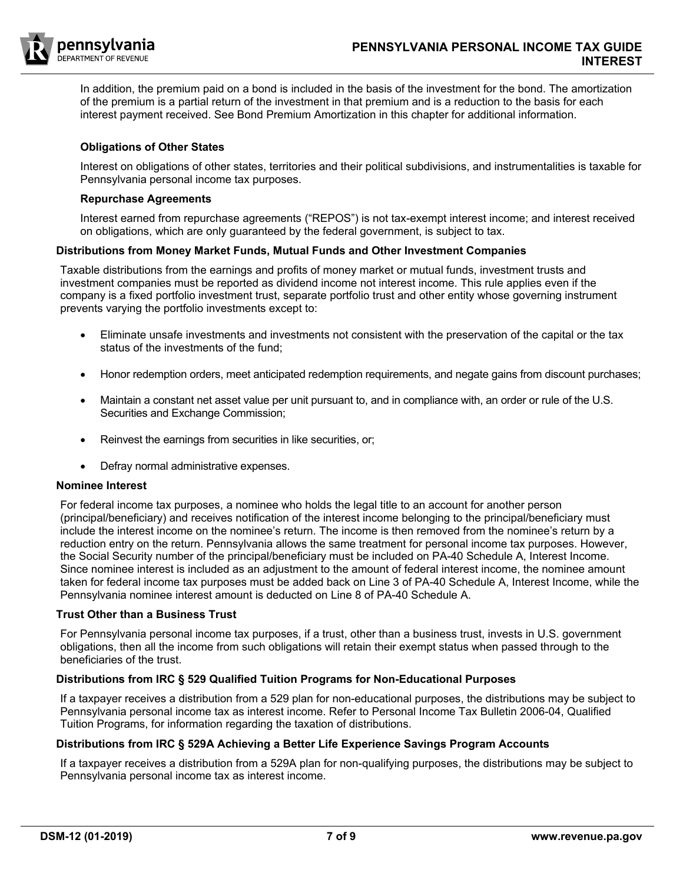

In addition, the premium paid on a bond is included in the basis of the investment for the bond. The amortization of the premium is a partial return of the investment in that premium and is a reduction to the basis for each interest payment received. See Bond Premium Amortization in this chapter for additional information.

#### **Obligations of Other States**

Interest on obligations of other states, territories and their political subdivisions, and instrumentalities is taxable for Pennsylvania personal income tax purposes.

#### **Repurchase Agreements**

Interest earned from repurchase agreements ("REPOS") is not tax-exempt interest income; and interest received on obligations, which are only guaranteed by the federal government, is subject to tax.

#### **Distributions from Money Market Funds, Mutual Funds and Other Investment Companies**

Taxable distributions from the earnings and profits of money market or mutual funds, investment trusts and investment companies must be reported as dividend income not interest income. This rule applies even if the company is a fixed portfolio investment trust, separate portfolio trust and other entity whose governing instrument prevents varying the portfolio investments except to:

- Eliminate unsafe investments and investments not consistent with the preservation of the capital or the tax status of the investments of the fund;
- Honor redemption orders, meet anticipated redemption requirements, and negate gains from discount purchases;
- Maintain a constant net asset value per unit pursuant to, and in compliance with, an order or rule of the U.S. Securities and Exchange Commission;
- Reinvest the earnings from securities in like securities, or;
- Defray normal administrative expenses.

#### **Nominee Interest**

For federal income tax purposes, a nominee who holds the legal title to an account for another person (principal/beneficiary) and receives notification of the interest income belonging to the principal/beneficiary must include the interest income on the nominee's return. The income is then removed from the nominee's return by a reduction entry on the return. Pennsylvania allows the same treatment for personal income tax purposes. However, the Social Security number of the principal/beneficiary must be included on PA-40 Schedule A, Interest Income. Since nominee interest is included as an adjustment to the amount of federal interest income, the nominee amount taken for federal income tax purposes must be added back on Line 3 of PA-40 Schedule A, Interest Income, while the Pennsylvania nominee interest amount is deducted on Line 8 of PA-40 Schedule A.

#### **Trust Other than a Business Trust**

For Pennsylvania personal income tax purposes, if a trust, other than a business trust, invests in U.S. government obligations, then all the income from such obligations will retain their exempt status when passed through to the beneficiaries of the trust.

# **Distributions from IRC § 529 Qualified Tuition Programs for Non-Educational Purposes**

If a taxpayer receives a distribution from a 529 plan for non-educational purposes, the distributions may be subject to Pennsylvania personal income tax as interest income. Refer to Personal Income Tax Bulletin 2006-04, Qualified Tuition Programs, for information regarding the taxation of distributions.

# **Distributions from IRC § 529A Achieving a Better Life Experience Savings Program Accounts**

If a taxpayer receives a distribution from a 529A plan for non-qualifying purposes, the distributions may be subject to Pennsylvania personal income tax as interest income.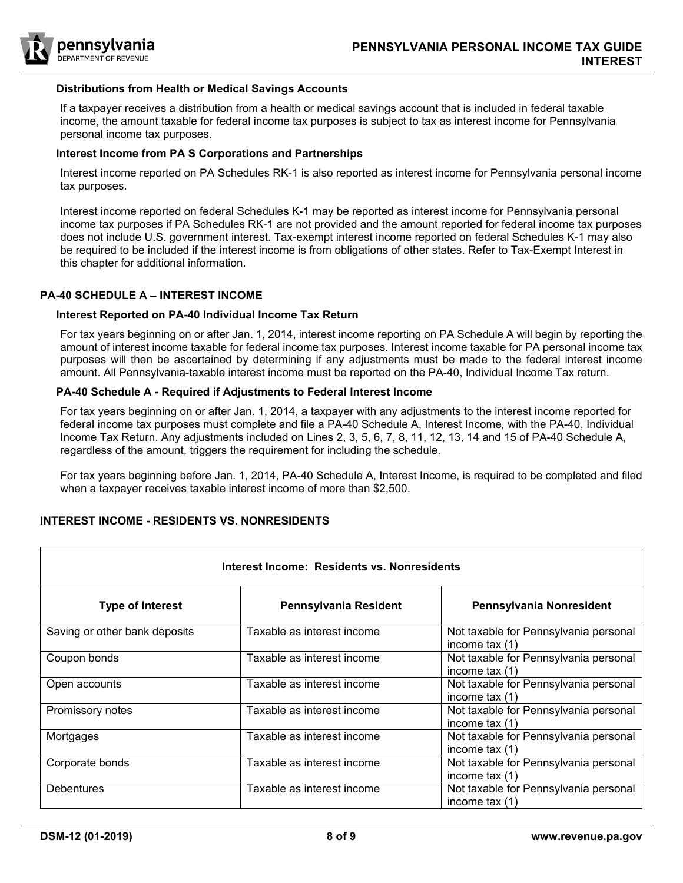

#### **Distributions from Health or Medical Savings Accounts**

If a taxpayer receives a distribution from a health or medical savings account that is included in federal taxable income, the amount taxable for federal income tax purposes is subject to tax as interest income for Pennsylvania personal income tax purposes.

#### **Interest Income from PA S Corporations and Partnerships**

Interest income reported on PA Schedules RK-1 is also reported as interest income for Pennsylvania personal income tax purposes.

Interest income reported on federal Schedules K-1 may be reported as interest income for Pennsylvania personal income tax purposes if PA Schedules RK-1 are not provided and the amount reported for federal income tax purposes does not include U.S. government interest. Tax-exempt interest income reported on federal Schedules K-1 may also be required to be included if the interest income is from obligations of other states. Refer to Tax-Exempt Interest in this chapter for additional information.

#### **PA-40 SCHEDULE A – INTEREST INCOME**

#### **Interest Reported on PA-40 Individual Income Tax Return**

For tax years beginning on or after Jan. 1, 2014, interest income reporting on PA Schedule A will begin by reporting the amount of interest income taxable for federal income tax purposes. Interest income taxable for PA personal income tax purposes will then be ascertained by determining if any adjustments must be made to the federal interest income amount. All Pennsylvania-taxable interest income must be reported on the PA-40, Individual Income Tax return.

#### **PA-40 Schedule A - Required if Adjustments to Federal Interest Income**

For tax years beginning on or after Jan. 1, 2014, a taxpayer with any adjustments to the interest income reported for federal income tax purposes must complete and file a PA-40 Schedule A, Interest Income*,* with the PA-40, Individual Income Tax Return. Any adjustments included on Lines 2, 3, 5, 6, 7, 8, 11, 12, 13, 14 and 15 of PA-40 Schedule A, regardless of the amount, triggers the requirement for including the schedule.

For tax years beginning before Jan. 1, 2014, PA-40 Schedule A, Interest Income, is required to be completed and filed when a taxpayer receives taxable interest income of more than \$2,500.

# **INTEREST INCOME - RESIDENTS VS. NONRESIDENTS**

| Interest Income: Residents vs. Nonresidents |                            |                                                           |  |  |
|---------------------------------------------|----------------------------|-----------------------------------------------------------|--|--|
| <b>Type of Interest</b>                     | Pennsylvania Resident      | Pennsylvania Nonresident                                  |  |  |
| Saving or other bank deposits               | Taxable as interest income | Not taxable for Pennsylvania personal<br>income tax $(1)$ |  |  |
| Coupon bonds                                | Taxable as interest income | Not taxable for Pennsylvania personal<br>income tax $(1)$ |  |  |
| Open accounts                               | Taxable as interest income | Not taxable for Pennsylvania personal<br>income tax $(1)$ |  |  |
| Promissory notes                            | Taxable as interest income | Not taxable for Pennsylvania personal<br>income tax $(1)$ |  |  |
| Mortgages                                   | Taxable as interest income | Not taxable for Pennsylvania personal<br>income tax $(1)$ |  |  |
| Corporate bonds                             | Taxable as interest income | Not taxable for Pennsylvania personal<br>income tax $(1)$ |  |  |
| <b>Debentures</b>                           | Taxable as interest income | Not taxable for Pennsylvania personal<br>income tax $(1)$ |  |  |